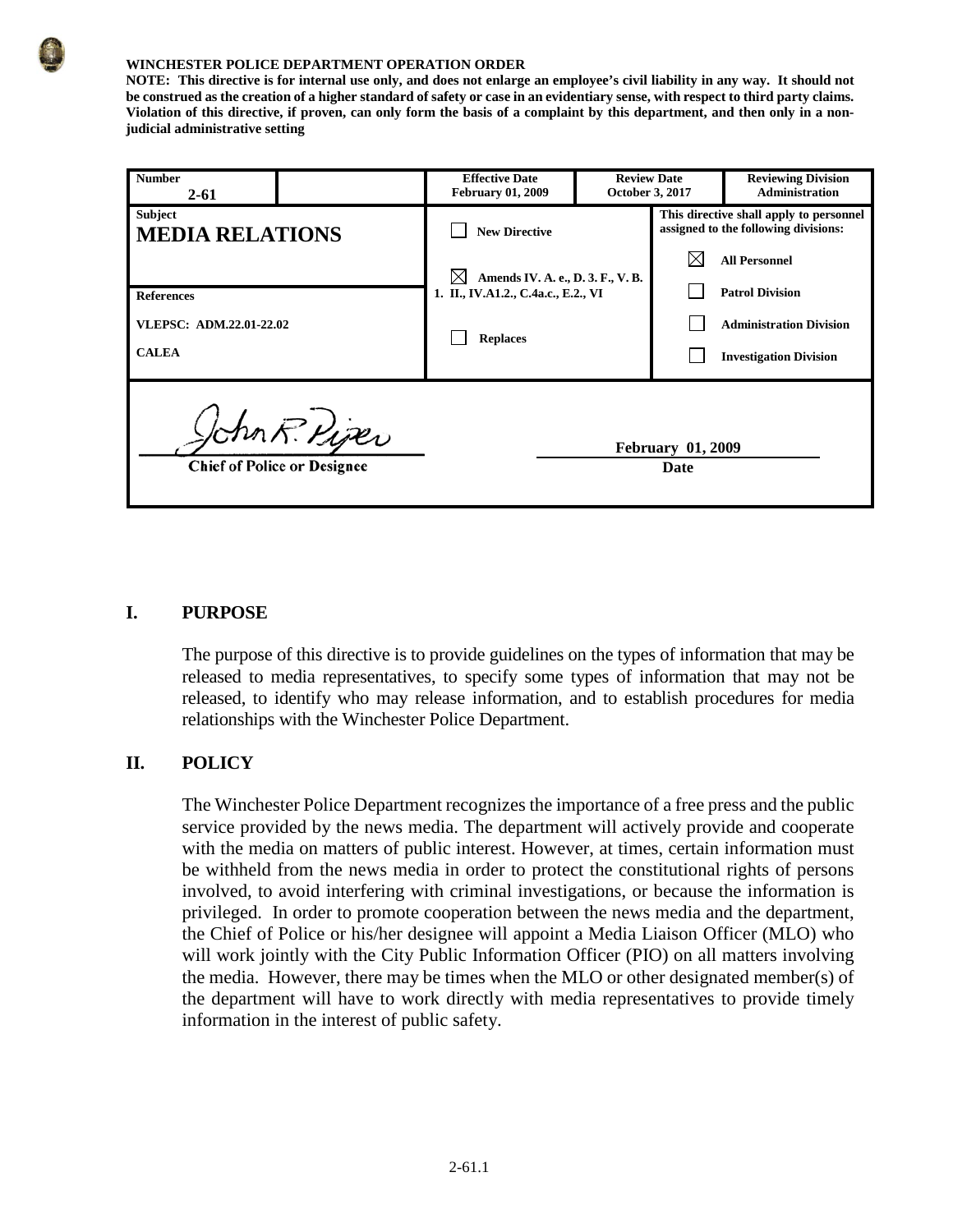#### **WINCHESTER POLICE DEPARTMENT OPERATION ORDER**

**NOTE: This directive is for internal use only, and does not enlarge an employee's civil liability in any way. It should not be construed as the creation of a higher standard of safety or case in an evidentiary sense, with respect to third party claims. Violation of this directive, if proven, can only form the basis of a complaint by this department, and then only in a nonjudicial administrative setting**

| <b>Number</b><br>$2 - 61$                                    |                                                     | <b>Effective Date</b><br><b>February 01, 2009</b>                                                  |  | <b>Review Date</b><br>October 3, 2017                                           | <b>Reviewing Division</b><br><b>Administration</b>                                                                |
|--------------------------------------------------------------|-----------------------------------------------------|----------------------------------------------------------------------------------------------------|--|---------------------------------------------------------------------------------|-------------------------------------------------------------------------------------------------------------------|
| <b>Subject</b><br><b>MEDIA RELATIONS</b>                     |                                                     | <b>New Directive</b>                                                                               |  | This directive shall apply to personnel<br>assigned to the following divisions: |                                                                                                                   |
| <b>References</b><br>VLEPSC: ADM.22.01-22.02<br><b>CALEA</b> |                                                     | IХI<br>Amends IV. A. e., D. 3. F., V. B.<br>1. II., IV.A1.2., C.4a.c., E.2., VI<br><b>Replaces</b> |  |                                                                                 | <b>All Personnel</b><br><b>Patrol Division</b><br><b>Administration Division</b><br><b>Investigation Division</b> |
|                                                              | John R. Piper<br><b>Chief of Police or Designee</b> |                                                                                                    |  | <b>February 01, 2009</b><br>Date                                                |                                                                                                                   |

### **I. PURPOSE**

The purpose of this directive is to provide guidelines on the types of information that may be released to media representatives, to specify some types of information that may not be released, to identify who may release information, and to establish procedures for media relationships with the Winchester Police Department.

# **II. POLICY**

The Winchester Police Department recognizes the importance of a free press and the public service provided by the news media. The department will actively provide and cooperate with the media on matters of public interest. However, at times, certain information must be withheld from the news media in order to protect the constitutional rights of persons involved, to avoid interfering with criminal investigations, or because the information is privileged. In order to promote cooperation between the news media and the department, the Chief of Police or his/her designee will appoint a Media Liaison Officer (MLO) who will work jointly with the City Public Information Officer (PIO) on all matters involving the media. However, there may be times when the MLO or other designated member(s) of the department will have to work directly with media representatives to provide timely information in the interest of public safety.

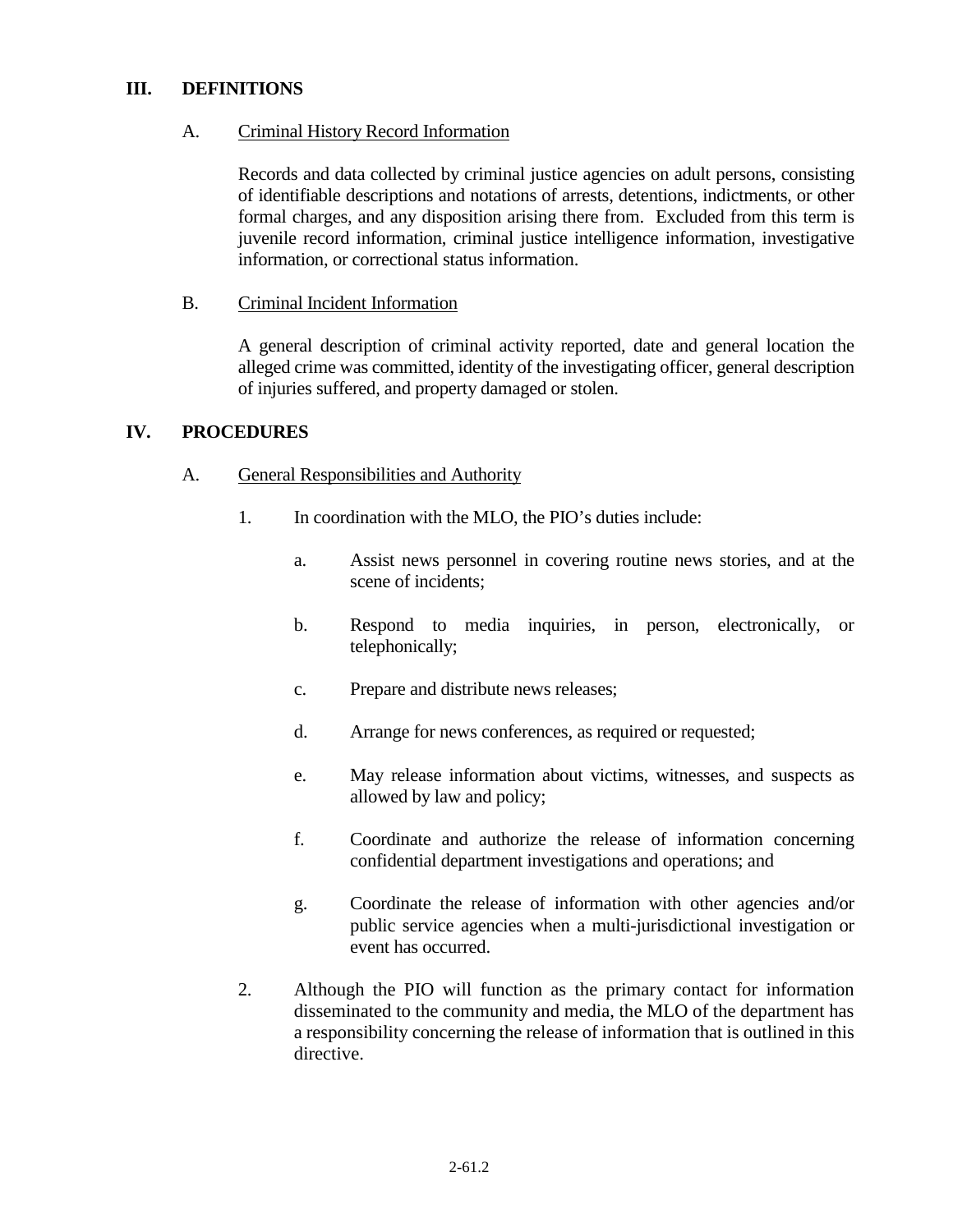### **III. DEFINITIONS**

# A. Criminal History Record Information

Records and data collected by criminal justice agencies on adult persons, consisting of identifiable descriptions and notations of arrests, detentions, indictments, or other formal charges, and any disposition arising there from. Excluded from this term is juvenile record information, criminal justice intelligence information, investigative information, or correctional status information.

# B. Criminal Incident Information

A general description of criminal activity reported, date and general location the alleged crime was committed, identity of the investigating officer, general description of injuries suffered, and property damaged or stolen.

# **IV. PROCEDURES**

### A. General Responsibilities and Authority

- 1. In coordination with the MLO, the PIO's duties include:
	- a. Assist news personnel in covering routine news stories, and at the scene of incidents;
	- b. Respond to media inquiries, in person, electronically, or telephonically;
	- c. Prepare and distribute news releases;
	- d. Arrange for news conferences, as required or requested;
	- e. May release information about victims, witnesses, and suspects as allowed by law and policy;
	- f. Coordinate and authorize the release of information concerning confidential department investigations and operations; and
	- g. Coordinate the release of information with other agencies and/or public service agencies when a multi-jurisdictional investigation or event has occurred.
- 2. Although the PIO will function as the primary contact for information disseminated to the community and media, the MLO of the department has a responsibility concerning the release of information that is outlined in this directive.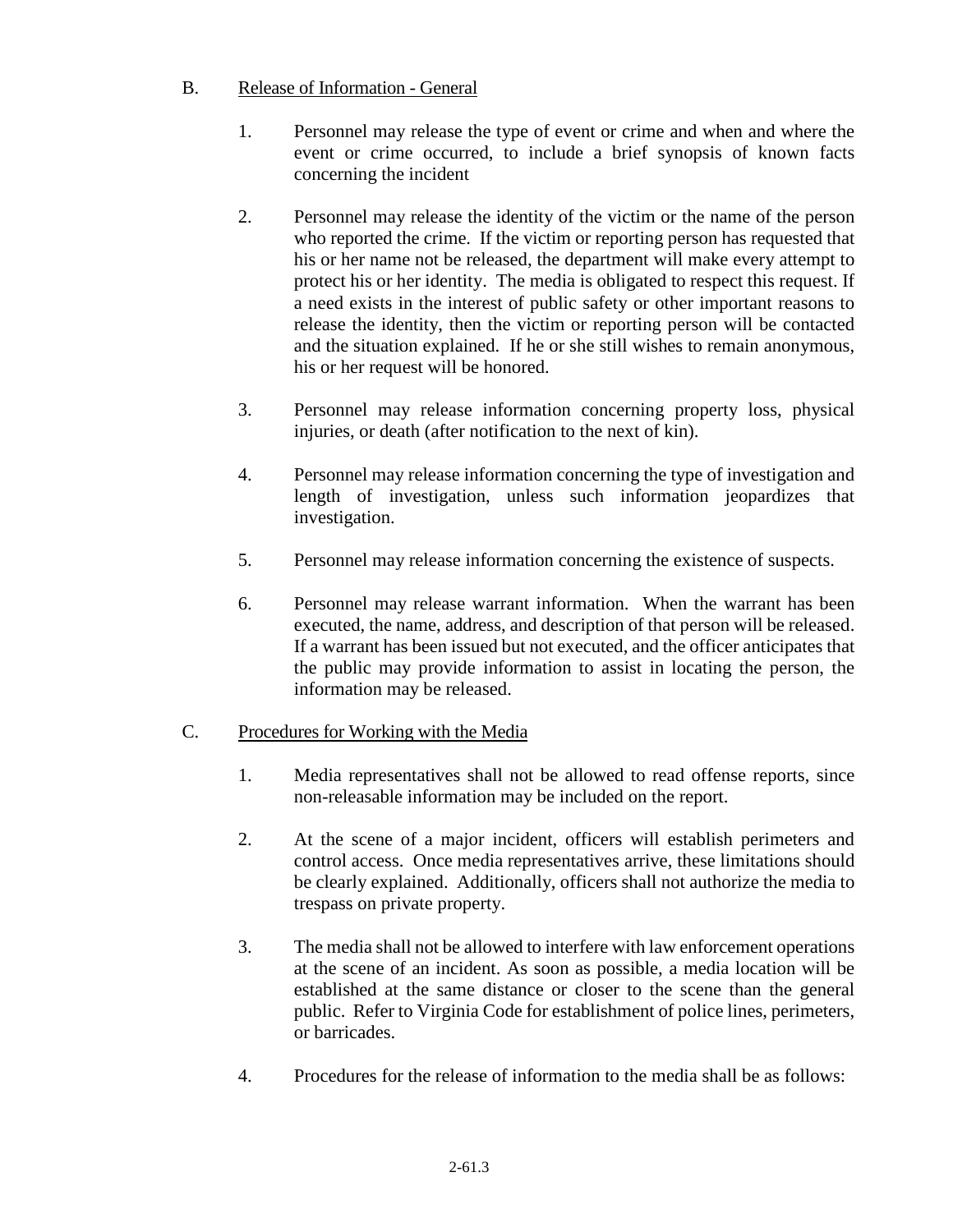# B. Release of Information - General

- 1. Personnel may release the type of event or crime and when and where the event or crime occurred, to include a brief synopsis of known facts concerning the incident
- 2. Personnel may release the identity of the victim or the name of the person who reported the crime. If the victim or reporting person has requested that his or her name not be released, the department will make every attempt to protect his or her identity. The media is obligated to respect this request. If a need exists in the interest of public safety or other important reasons to release the identity, then the victim or reporting person will be contacted and the situation explained. If he or she still wishes to remain anonymous, his or her request will be honored.
- 3. Personnel may release information concerning property loss, physical injuries, or death (after notification to the next of kin).
- 4. Personnel may release information concerning the type of investigation and length of investigation, unless such information jeopardizes that investigation.
- 5. Personnel may release information concerning the existence of suspects.
- 6. Personnel may release warrant information. When the warrant has been executed, the name, address, and description of that person will be released. If a warrant has been issued but not executed, and the officer anticipates that the public may provide information to assist in locating the person, the information may be released.

# C. Procedures for Working with the Media

- 1. Media representatives shall not be allowed to read offense reports, since non-releasable information may be included on the report.
- 2. At the scene of a major incident, officers will establish perimeters and control access. Once media representatives arrive, these limitations should be clearly explained. Additionally, officers shall not authorize the media to trespass on private property.
- 3. The media shall not be allowed to interfere with law enforcement operations at the scene of an incident. As soon as possible, a media location will be established at the same distance or closer to the scene than the general public. Refer to Virginia Code for establishment of police lines, perimeters, or barricades.
- 4. Procedures for the release of information to the media shall be as follows: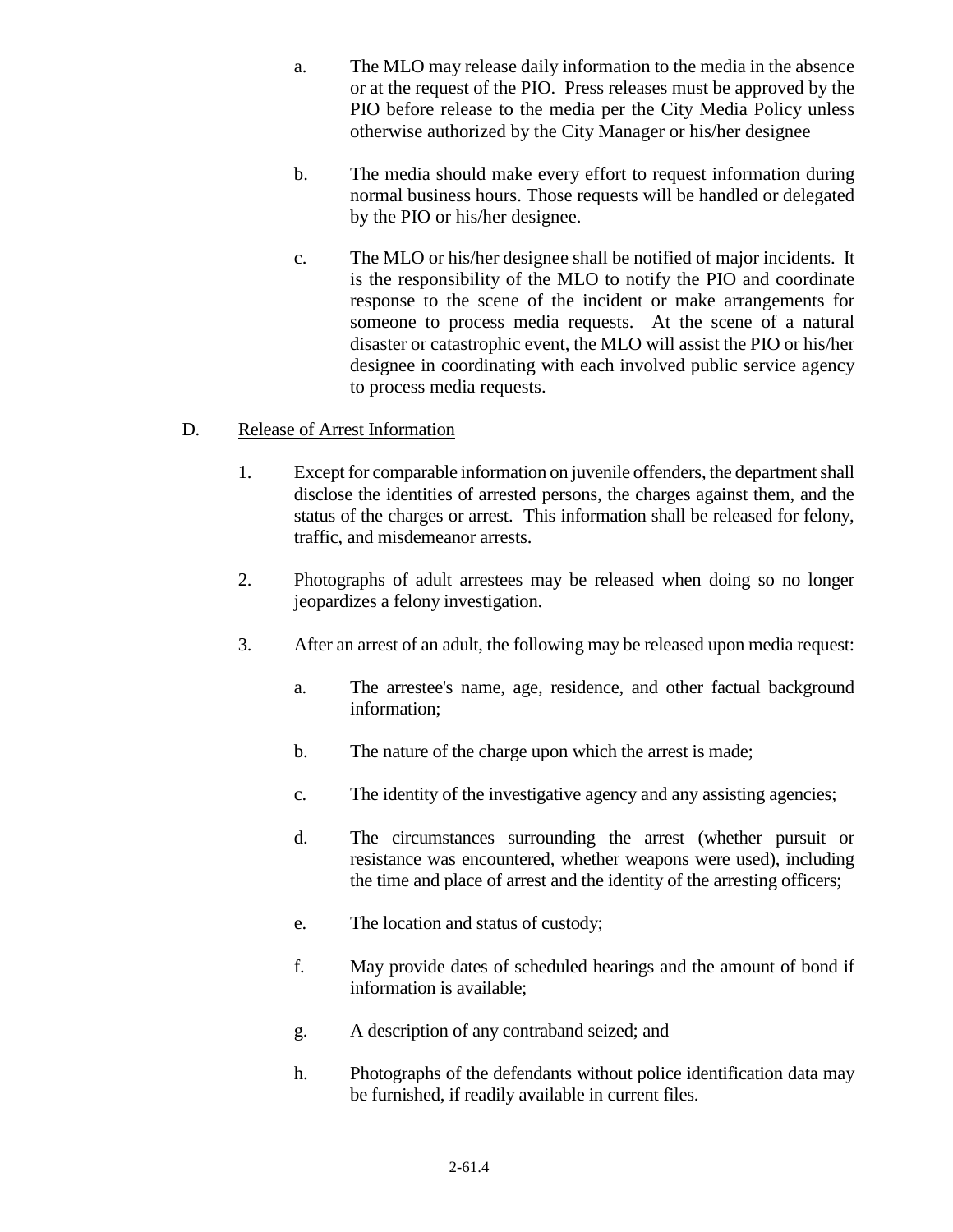- a. The MLO may release daily information to the media in the absence or at the request of the PIO. Press releases must be approved by the PIO before release to the media per the City Media Policy unless otherwise authorized by the City Manager or his/her designee
- b. The media should make every effort to request information during normal business hours. Those requests will be handled or delegated by the PIO or his/her designee.
- c. The MLO or his/her designee shall be notified of major incidents. It is the responsibility of the MLO to notify the PIO and coordinate response to the scene of the incident or make arrangements for someone to process media requests. At the scene of a natural disaster or catastrophic event, the MLO will assist the PIO or his/her designee in coordinating with each involved public service agency to process media requests.

# D. Release of Arrest Information

- 1. Except for comparable information on juvenile offenders, the department shall disclose the identities of arrested persons, the charges against them, and the status of the charges or arrest. This information shall be released for felony, traffic, and misdemeanor arrests.
- 2. Photographs of adult arrestees may be released when doing so no longer jeopardizes a felony investigation.
- 3. After an arrest of an adult, the following may be released upon media request:
	- a. The arrestee's name, age, residence, and other factual background information;
	- b. The nature of the charge upon which the arrest is made;
	- c. The identity of the investigative agency and any assisting agencies;
	- d. The circumstances surrounding the arrest (whether pursuit or resistance was encountered, whether weapons were used), including the time and place of arrest and the identity of the arresting officers;
	- e. The location and status of custody;
	- f. May provide dates of scheduled hearings and the amount of bond if information is available;
	- g. A description of any contraband seized; and
	- h. Photographs of the defendants without police identification data may be furnished, if readily available in current files.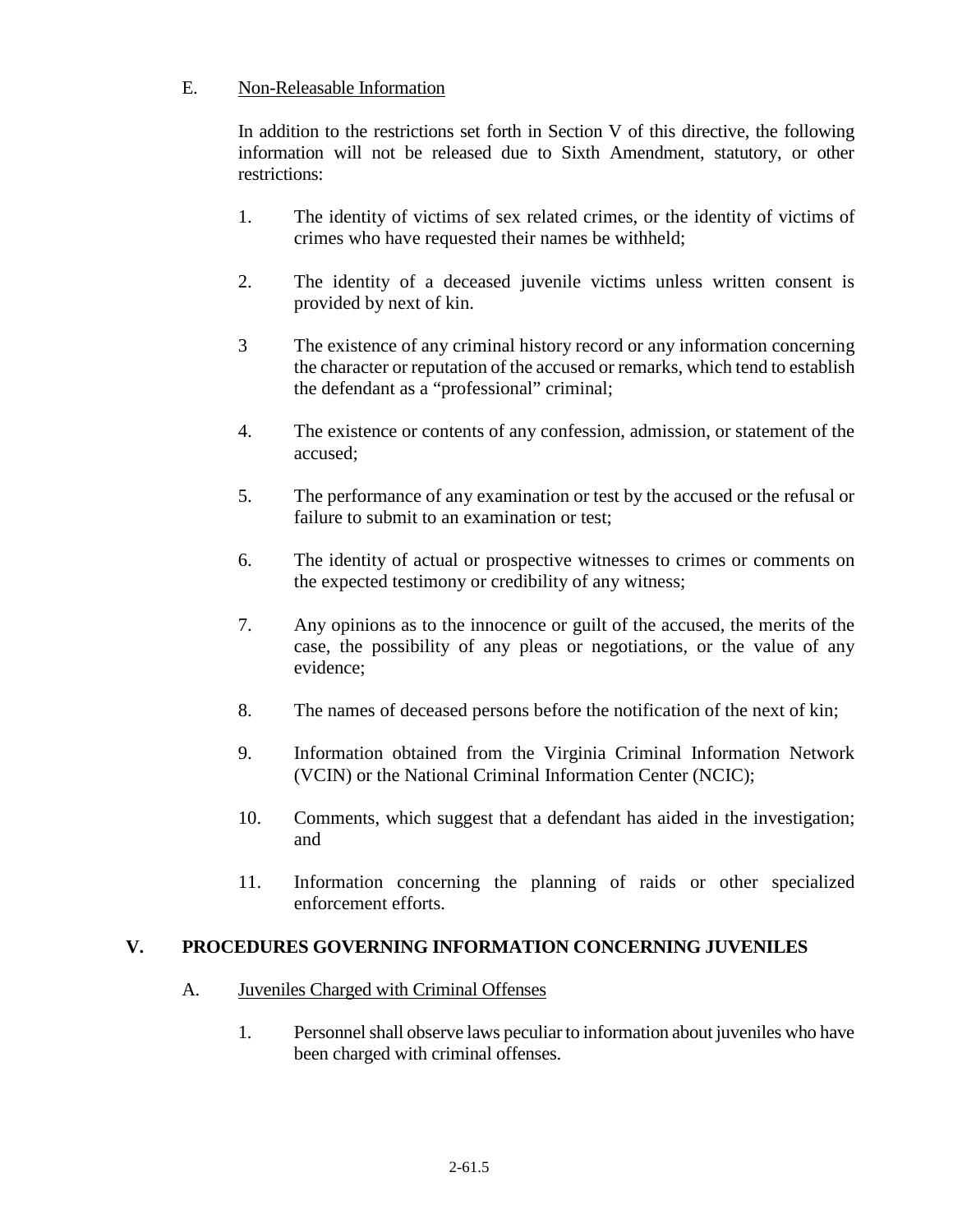# E. Non-Releasable Information

In addition to the restrictions set forth in Section V of this directive, the following information will not be released due to Sixth Amendment, statutory, or other restrictions:

- 1. The identity of victims of sex related crimes, or the identity of victims of crimes who have requested their names be withheld;
- 2. The identity of a deceased juvenile victims unless written consent is provided by next of kin.
- 3 The existence of any criminal history record or any information concerning the character or reputation of the accused or remarks, which tend to establish the defendant as a "professional" criminal;
- 4. The existence or contents of any confession, admission, or statement of the accused;
- 5. The performance of any examination or test by the accused or the refusal or failure to submit to an examination or test;
- 6. The identity of actual or prospective witnesses to crimes or comments on the expected testimony or credibility of any witness;
- 7. Any opinions as to the innocence or guilt of the accused, the merits of the case, the possibility of any pleas or negotiations, or the value of any evidence;
- 8. The names of deceased persons before the notification of the next of kin;
- 9. Information obtained from the Virginia Criminal Information Network (VCIN) or the National Criminal Information Center (NCIC);
- 10. Comments, which suggest that a defendant has aided in the investigation; and
- 11. Information concerning the planning of raids or other specialized enforcement efforts.

# **V. PROCEDURES GOVERNING INFORMATION CONCERNING JUVENILES**

# A. Juveniles Charged with Criminal Offenses

1. Personnel shall observe laws peculiar to information about juveniles who have been charged with criminal offenses.